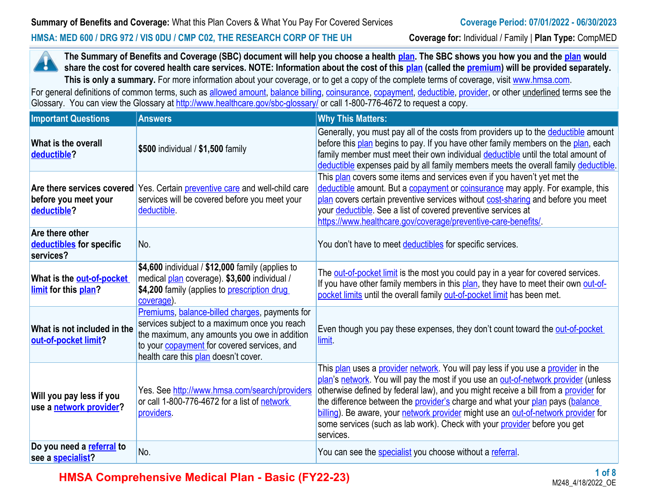#### **HMSA: MED 600 / DRG 972 / VIS 0DU / CMP C02, THE RESEARCH CORP OF THE UH Coverage for:** Individual / Family | **Plan Type:** CompMED

**The Summary of Benefits and Coverage (SBC) document will help you choose a health [plan.](https://www.healthcare.gov/sbc-glossary/#plan) The SBC shows you how you and the [plan](https://www.healthcare.gov/sbc-glossary/#plan) would**  н **share the cost for covered health care services. NOTE: Information about the cost of this <b>plan** (called the **premium**) will be provided separately. This is only a summary. For more information about your coverage, or to get a copy of the complete terms of coverage, visit [www.hmsa.com](http://www.hmsa.com/).

For general definitions of common terms, such as [allowed amount](https://www.healthcare.gov/sbc-glossary/#allowed-amount), [balance billing,](https://www.healthcare.gov/sbc-glossary/#balance-billing) [coinsurance,](https://www.healthcare.gov/sbc-glossary/#coinsurance) [copayment](https://www.healthcare.gov/sbc-glossary/#copayment), [deductible](https://www.healthcare.gov/sbc-glossary/#deductible), [provider,](https://www.healthcare.gov/sbc-glossary/#provider) or other underlined terms see the Glossary. You can view the Glossary at <http://www.healthcare.gov/sbc-glossary/> or call 1-800-776-4672 to request a copy.

| <b>Important Questions</b>                               | <b>Answers</b>                                                                                                                                                                                                                               | <b>Why This Matters:</b>                                                                                                                                                                                                                                                                                                                                                                                                                                                                                                                       |
|----------------------------------------------------------|----------------------------------------------------------------------------------------------------------------------------------------------------------------------------------------------------------------------------------------------|------------------------------------------------------------------------------------------------------------------------------------------------------------------------------------------------------------------------------------------------------------------------------------------------------------------------------------------------------------------------------------------------------------------------------------------------------------------------------------------------------------------------------------------------|
| What is the overall<br>deductible?                       | \$500 individual / \$1,500 family                                                                                                                                                                                                            | Generally, you must pay all of the costs from providers up to the deductible amount<br>before this plan begins to pay. If you have other family members on the plan, each<br>family member must meet their own individual deductible until the total amount of<br>deductible expenses paid by all family members meets the overall family deductible.                                                                                                                                                                                          |
| before you meet your<br>deductible?                      | Are there services covered Yes. Certain <i>preventive care</i> and well-child care<br>services will be covered before you meet your<br>deductible.                                                                                           | This plan covers some items and services even if you haven't yet met the<br>deductible amount. But a copayment or coinsurance may apply. For example, this<br>plan covers certain preventive services without cost-sharing and before you meet<br>your <b>deductible</b> . See a list of covered preventive services at<br>https://www.healthcare.gov/coverage/preventive-care-benefits/.                                                                                                                                                      |
| Are there other<br>deductibles for specific<br>services? | No.                                                                                                                                                                                                                                          | You don't have to meet deductibles for specific services.                                                                                                                                                                                                                                                                                                                                                                                                                                                                                      |
| What is the out-of-pocket<br>limit for this plan?        | \$4,600 individual / $$12,000$ family (applies to<br>medical plan coverage). \$3,600 individual /<br>\$4,200 family (applies to prescription drug<br>coverage).                                                                              | The <b>out-of-pocket limit</b> is the most you could pay in a year for covered services.<br>If you have other family members in this plan, they have to meet their own out-of-<br>pocket limits until the overall family out-of-pocket limit has been met.                                                                                                                                                                                                                                                                                     |
| What is not included in the<br>out-of-pocket limit?      | Premiums, balance-billed charges, payments for<br>services subject to a maximum once you reach<br>the maximum, any amounts you owe in addition<br>to your <b>copayment</b> for covered services, and<br>health care this plan doesn't cover. | Even though you pay these expenses, they don't count toward the out-of-pocket<br>limit.                                                                                                                                                                                                                                                                                                                                                                                                                                                        |
| Will you pay less if you<br>use a network provider?      | Yes. See http://www.hmsa.com/search/providers<br>or call 1-800-776-4672 for a list of network<br>providers.                                                                                                                                  | This plan uses a provider network. You will pay less if you use a provider in the<br>plan's network. You will pay the most if you use an out-of-network provider (unless<br>otherwise defined by federal law), and you might receive a bill from a provider for<br>the difference between the <b>provider's</b> charge and what your <b>plan</b> pays (balance<br>billing). Be aware, your network provider might use an out-of-network provider for<br>some services (such as lab work). Check with your provider before you get<br>services. |
| Do you need a referral to<br>see a <b>specialist?</b>    | No.                                                                                                                                                                                                                                          | You can see the <b>specialist</b> you choose without a referral.                                                                                                                                                                                                                                                                                                                                                                                                                                                                               |

**HMSA Comprehensive Medical Plan - Basic (FY22-23)**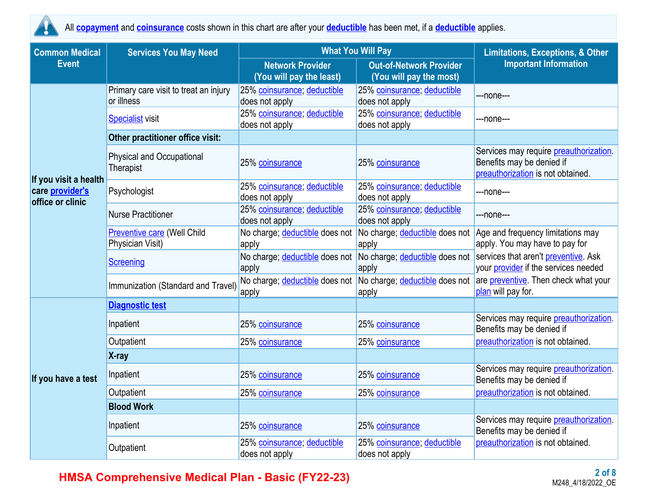

All **copayment** and **coinsurance** costs shown in this chart are after your **deductible** has been met, if a **deductible** applies.

| <b>Common Medical</b>                                               | <b>Services You May Need</b>                           | <b>What You Will Pay</b>                            | <b>Limitations, Exceptions, &amp; Other</b>               |                                                                                                                  |  |
|---------------------------------------------------------------------|--------------------------------------------------------|-----------------------------------------------------|-----------------------------------------------------------|------------------------------------------------------------------------------------------------------------------|--|
| <b>Event</b>                                                        |                                                        | <b>Network Provider</b><br>(You will pay the least) | <b>Out-of-Network Provider</b><br>(You will pay the most) | <b>Important Information</b>                                                                                     |  |
|                                                                     | Primary care visit to treat an injury<br>or illness    | 25% coinsurance; deductible<br>does not apply       | 25% coinsurance; deductible<br>does not apply             | ---none---                                                                                                       |  |
|                                                                     | <b>Specialist visit</b>                                | 25% coinsurance; deductible<br>does not apply       | 25% coinsurance; deductible<br>does not apply             | ---none---                                                                                                       |  |
|                                                                     | Other practitioner office visit:                       |                                                     |                                                           |                                                                                                                  |  |
|                                                                     | <b>Physical and Occupational</b><br>Therapist          | 25% coinsurance                                     | 25% coinsurance                                           | Services may require <i>preauthorization</i> .<br>Benefits may be denied if<br>preauthorization is not obtained. |  |
| If you visit a health<br>care <i>provider's</i><br>office or clinic | Psychologist                                           | 25% coinsurance; deductible<br>does not apply       | 25% coinsurance; deductible<br>does not apply             | ---none---                                                                                                       |  |
|                                                                     | <b>Nurse Practitioner</b>                              | 25% coinsurance; deductible<br>does not apply       | 25% coinsurance; deductible<br>does not apply             | ---none---                                                                                                       |  |
|                                                                     | <b>Preventive care (Well Child</b><br>Physician Visit) | No charge; deductible does not<br>apply             | No charge; deductible does not<br>apply                   | Age and frequency limitations may<br>apply. You may have to pay for                                              |  |
|                                                                     | <b>Screening</b>                                       | No charge; deductible does not<br>apply             | No charge; deductible does not<br>apply                   | services that aren't preventive. Ask<br>your provider if the services needed                                     |  |
|                                                                     | Immunization (Standard and Travel)                     | No charge; deductible does not<br>apply             | No charge; deductible does not<br>apply                   | are preventive. Then check what your<br>plan will pay for.                                                       |  |
|                                                                     | <b>Diagnostic test</b>                                 |                                                     |                                                           |                                                                                                                  |  |
|                                                                     | Inpatient                                              | 25% coinsurance                                     | 25% coinsurance                                           | Services may require preauthorization.<br>Benefits may be denied if                                              |  |
|                                                                     | Outpatient                                             | 25% coinsurance                                     | 25% coinsurance                                           | preauthorization is not obtained.                                                                                |  |
|                                                                     | X-ray                                                  |                                                     |                                                           |                                                                                                                  |  |
| If you have a test                                                  | Inpatient                                              | 25% coinsurance                                     | 25% coinsurance                                           | Services may require <i>preauthorization</i> .<br>Benefits may be denied if                                      |  |
|                                                                     | Outpatient                                             | 25% coinsurance                                     | 25% coinsurance                                           | preauthorization is not obtained.                                                                                |  |
|                                                                     | <b>Blood Work</b>                                      |                                                     |                                                           |                                                                                                                  |  |
|                                                                     | Inpatient                                              | 25% coinsurance                                     | 25% coinsurance                                           | Services may require <i>preauthorization</i> .<br>Benefits may be denied if                                      |  |
|                                                                     | Outpatient                                             | 25% coinsurance; deductible<br>does not apply       | 25% coinsurance; deductible<br>does not apply             | preauthorization is not obtained.                                                                                |  |

## **HMSA Comprehensive Medical Plan - Basic (FY22-23)**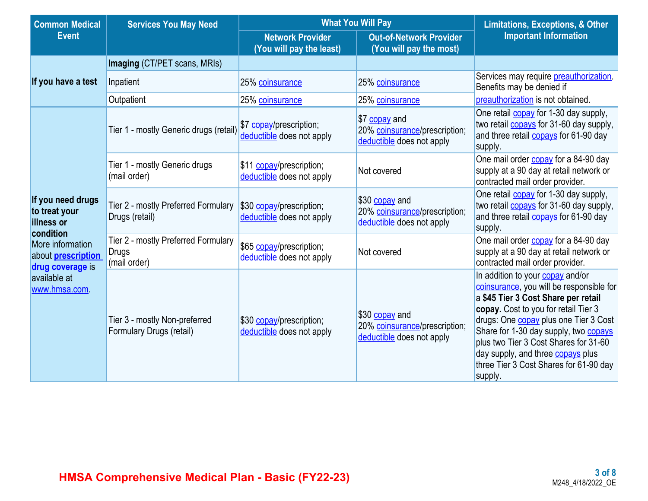| <b>Common Medical</b>                                                | <b>What You Will Pay</b><br><b>Services You May Need</b>            |                                                       |                                                                              | <b>Limitations, Exceptions, &amp; Other</b>                                                                                                                                                                                                                                                                                                                                                           |  |
|----------------------------------------------------------------------|---------------------------------------------------------------------|-------------------------------------------------------|------------------------------------------------------------------------------|-------------------------------------------------------------------------------------------------------------------------------------------------------------------------------------------------------------------------------------------------------------------------------------------------------------------------------------------------------------------------------------------------------|--|
| <b>Event</b>                                                         |                                                                     | <b>Network Provider</b><br>(You will pay the least)   | <b>Out-of-Network Provider</b><br>(You will pay the most)                    | <b>Important Information</b>                                                                                                                                                                                                                                                                                                                                                                          |  |
| If you have a test                                                   | Imaging (CT/PET scans, MRIs)                                        |                                                       |                                                                              |                                                                                                                                                                                                                                                                                                                                                                                                       |  |
|                                                                      | Inpatient                                                           | 25% coinsurance                                       | 25% coinsurance                                                              | Services may require preauthorization.<br>Benefits may be denied if                                                                                                                                                                                                                                                                                                                                   |  |
|                                                                      | Outpatient                                                          | 25% coinsurance                                       | 25% coinsurance                                                              | preauthorization is not obtained.                                                                                                                                                                                                                                                                                                                                                                     |  |
|                                                                      | Tier 1 - mostly Generic drugs (retail)                              | \$7 copay/prescription;<br>deductible does not apply  | \$7 copay and<br>20% coinsurance/prescription;<br>deductible does not apply  | One retail <b>copay</b> for 1-30 day supply,<br>two retail <b>copays</b> for 31-60 day supply,<br>and three retail <b>copays</b> for 61-90 day<br>supply.                                                                                                                                                                                                                                             |  |
|                                                                      | Tier 1 - mostly Generic drugs<br>(mail order)                       | \$11 copay/prescription;<br>deductible does not apply | Not covered                                                                  | One mail order <b>copay</b> for a 84-90 day<br>supply at a 90 day at retail network or<br>contracted mail order provider.                                                                                                                                                                                                                                                                             |  |
| If you need drugs<br>to treat your<br><b>illness or</b><br>condition | Tier 2 - mostly Preferred Formulary<br>Drugs (retail)               | \$30 copay/prescription;<br>deductible does not apply | \$30 copay and<br>20% coinsurance/prescription;<br>deductible does not apply | One retail <b>copay</b> for 1-30 day supply,<br>two retail <b>copays</b> for 31-60 day supply,<br>and three retail <b>copays</b> for 61-90 day<br>supply.                                                                                                                                                                                                                                             |  |
| More information<br>about <b>prescription</b><br>drug coverage is    | Tier 2 - mostly Preferred Formulary<br><b>Drugs</b><br>(mail order) | \$65 copay/prescription;<br>deductible does not apply | Not covered                                                                  | One mail order <b>copay</b> for a 84-90 day<br>supply at a 90 day at retail network or<br>contracted mail order provider.                                                                                                                                                                                                                                                                             |  |
| available at<br>www.hmsa.com.                                        | Tier 3 - mostly Non-preferred<br>Formulary Drugs (retail)           | \$30 copay/prescription;<br>deductible does not apply | \$30 copay and<br>20% coinsurance/prescription;<br>deductible does not apply | In addition to your copay and/or<br>coinsurance, you will be responsible for<br>a \$45 Tier 3 Cost Share per retail<br>copay. Cost to you for retail Tier 3<br>drugs: One <b>copay</b> plus one Tier 3 Cost<br>Share for 1-30 day supply, two <b>copays</b><br>plus two Tier 3 Cost Shares for 31-60<br>day supply, and three <b>copays</b> plus<br>three Tier 3 Cost Shares for 61-90 day<br>supply. |  |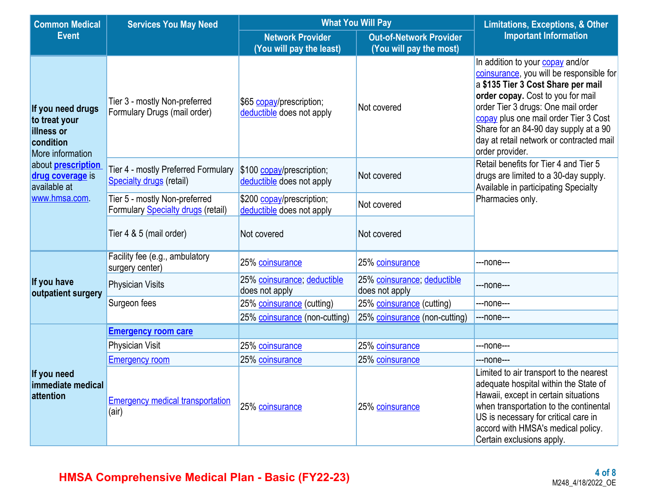| <b>Common Medical</b>                                                                                                                                              | <b>Services You May Need</b>                                               | <b>What You Will Pay</b>                               | <b>Limitations, Exceptions, &amp; Other</b>               |                                                                                                                                                                                                                                                                                                                                                |  |
|--------------------------------------------------------------------------------------------------------------------------------------------------------------------|----------------------------------------------------------------------------|--------------------------------------------------------|-----------------------------------------------------------|------------------------------------------------------------------------------------------------------------------------------------------------------------------------------------------------------------------------------------------------------------------------------------------------------------------------------------------------|--|
| <b>Event</b>                                                                                                                                                       |                                                                            | <b>Network Provider</b><br>(You will pay the least)    | <b>Out-of-Network Provider</b><br>(You will pay the most) | <b>Important Information</b>                                                                                                                                                                                                                                                                                                                   |  |
| If you need drugs<br>to treat your<br>illness or<br>condition<br>More information<br>about <b>prescription</b><br>drug coverage is<br>available at<br>www.hmsa.com | Tier 3 - mostly Non-preferred<br>Formulary Drugs (mail order)              | \$65 copay/prescription;<br>deductible does not apply  | Not covered                                               | In addition to your copay and/or<br>coinsurance, you will be responsible for<br>a \$135 Tier 3 Cost Share per mail<br>order copay. Cost to you for mail<br>order Tier 3 drugs: One mail order<br>copay plus one mail order Tier 3 Cost<br>Share for an 84-90 day supply at a 90<br>day at retail network or contracted mail<br>order provider. |  |
|                                                                                                                                                                    | Tier 4 - mostly Preferred Formulary<br>Specialty drugs (retail)            | \$100 copay/prescription;<br>deductible does not apply | Not covered                                               | Retail benefits for Tier 4 and Tier 5<br>drugs are limited to a 30-day supply.<br>Available in participating Specialty                                                                                                                                                                                                                         |  |
|                                                                                                                                                                    | Tier 5 - mostly Non-preferred<br>Formulary <b>Specialty drugs</b> (retail) | \$200 copay/prescription;<br>deductible does not apply | Not covered                                               | Pharmacies only.                                                                                                                                                                                                                                                                                                                               |  |
|                                                                                                                                                                    | Tier 4 & 5 (mail order)<br>Not covered<br>Not covered                      |                                                        |                                                           |                                                                                                                                                                                                                                                                                                                                                |  |
|                                                                                                                                                                    | Facility fee (e.g., ambulatory<br>surgery center)                          | 25% coinsurance                                        | 25% coinsurance                                           | ---none---                                                                                                                                                                                                                                                                                                                                     |  |
| If you have<br>outpatient surgery                                                                                                                                  | <b>Physician Visits</b>                                                    | 25% coinsurance; deductible<br>does not apply          | 25% coinsurance; deductible<br>does not apply             | ---none---                                                                                                                                                                                                                                                                                                                                     |  |
|                                                                                                                                                                    | Surgeon fees                                                               | 25% coinsurance (cutting)                              | 25% coinsurance (cutting)                                 | ---none---                                                                                                                                                                                                                                                                                                                                     |  |
|                                                                                                                                                                    |                                                                            | 25% coinsurance (non-cutting)                          | 25% coinsurance (non-cutting)                             | ---none---                                                                                                                                                                                                                                                                                                                                     |  |
|                                                                                                                                                                    | <b>Emergency room care</b>                                                 |                                                        |                                                           |                                                                                                                                                                                                                                                                                                                                                |  |
|                                                                                                                                                                    | <b>Physician Visit</b>                                                     | 25% coinsurance                                        | 25% coinsurance                                           | ---none---                                                                                                                                                                                                                                                                                                                                     |  |
|                                                                                                                                                                    | <b>Emergency room</b>                                                      | 25% coinsurance                                        | 25% coinsurance                                           | ---none---                                                                                                                                                                                                                                                                                                                                     |  |
| If you need<br>immediate medical<br>attention                                                                                                                      | <b>Emergency medical transportation</b><br>(air)                           | 25% coinsurance                                        | 25% coinsurance                                           | Limited to air transport to the nearest<br>adequate hospital within the State of<br>Hawaii, except in certain situations<br>when transportation to the continental<br>US is necessary for critical care in<br>accord with HMSA's medical policy.<br>Certain exclusions apply.                                                                  |  |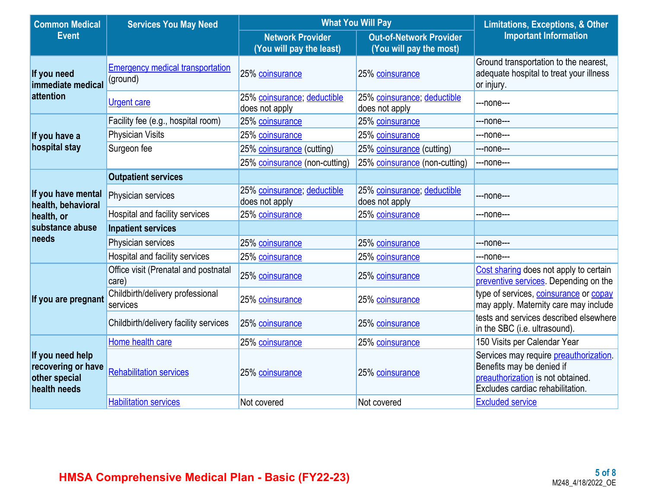| <b>Common Medical</b>                                                   | <b>Services You May Need</b>                        | <b>What You Will Pay</b>                                  | <b>Limitations, Exceptions, &amp; Other</b>   |                                                                                                                                                      |
|-------------------------------------------------------------------------|-----------------------------------------------------|-----------------------------------------------------------|-----------------------------------------------|------------------------------------------------------------------------------------------------------------------------------------------------------|
| <b>Event</b><br><b>Network Provider</b><br>(You will pay the least)     |                                                     | <b>Out-of-Network Provider</b><br>(You will pay the most) | <b>Important Information</b>                  |                                                                                                                                                      |
| If you need<br>immediate medical                                        | <b>Emergency medical transportation</b><br>(ground) | 25% coinsurance                                           | 25% coinsurance                               | Ground transportation to the nearest,<br>adequate hospital to treat your illness<br>or injury.                                                       |
| attention                                                               | <b>Urgent care</b>                                  | 25% coinsurance; deductible<br>does not apply             | 25% coinsurance; deductible<br>does not apply | ---none---                                                                                                                                           |
|                                                                         | Facility fee (e.g., hospital room)                  | 25% coinsurance                                           | 25% coinsurance                               | ---none---                                                                                                                                           |
| If you have a                                                           | <b>Physician Visits</b>                             | 25% coinsurance                                           | 25% coinsurance                               | ---none---                                                                                                                                           |
| hospital stay                                                           | Surgeon fee                                         | 25% coinsurance (cutting)                                 | 25% coinsurance (cutting)                     | ---none---                                                                                                                                           |
|                                                                         |                                                     | 25% coinsurance (non-cutting)                             | 25% coinsurance (non-cutting)                 | ---none---                                                                                                                                           |
|                                                                         | <b>Outpatient services</b>                          |                                                           |                                               |                                                                                                                                                      |
| If you have mental<br>health, behavioral                                | Physician services                                  | 25% coinsurance; deductible<br>does not apply             | 25% coinsurance; deductible<br>does not apply | ---none---                                                                                                                                           |
| health, or                                                              | Hospital and facility services                      | 25% coinsurance                                           | 25% coinsurance                               | ---none---                                                                                                                                           |
| substance abuse                                                         | <b>Inpatient services</b>                           |                                                           |                                               |                                                                                                                                                      |
| needs                                                                   | Physician services                                  | 25% coinsurance                                           | 25% coinsurance                               | ---none---                                                                                                                                           |
|                                                                         | Hospital and facility services                      | 25% coinsurance                                           | 25% coinsurance                               | ---none---                                                                                                                                           |
|                                                                         | Office visit (Prenatal and postnatal<br>care)       | 25% coinsurance                                           | 25% coinsurance                               | Cost sharing does not apply to certain<br>preventive services. Depending on the                                                                      |
| If you are pregnant                                                     | Childbirth/delivery professional<br>services        | 25% coinsurance                                           | 25% coinsurance                               | type of services, coinsurance or copay<br>may apply. Maternity care may include                                                                      |
|                                                                         | Childbirth/delivery facility services               | 25% coinsurance                                           | 25% coinsurance                               | tests and services described elsewhere<br>in the SBC (i.e. ultrasound).                                                                              |
|                                                                         | Home health care                                    | 25% coinsurance                                           | 25% coinsurance                               | 150 Visits per Calendar Year                                                                                                                         |
| If you need help<br>recovering or have<br>other special<br>health needs | <b>Rehabilitation services</b>                      | 25% coinsurance                                           | 25% coinsurance                               | Services may require <b>preauthorization</b> .<br>Benefits may be denied if<br>preauthorization is not obtained.<br>Excludes cardiac rehabilitation. |
|                                                                         | <b>Habilitation services</b>                        | Not covered                                               | Not covered                                   | <b>Excluded service</b>                                                                                                                              |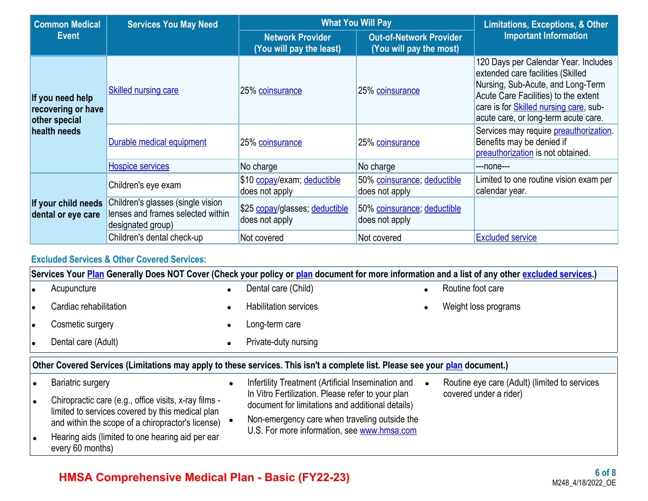| <b>Common Medical</b>                                   | <b>Services You May Need</b>                                                                | <b>What You Will Pay</b>                            | <b>Limitations, Exceptions, &amp; Other</b>               |                                                                                                                                                                                                                                                  |  |
|---------------------------------------------------------|---------------------------------------------------------------------------------------------|-----------------------------------------------------|-----------------------------------------------------------|--------------------------------------------------------------------------------------------------------------------------------------------------------------------------------------------------------------------------------------------------|--|
| <b>Event</b>                                            |                                                                                             | <b>Network Provider</b><br>(You will pay the least) | <b>Out-of-Network Provider</b><br>(You will pay the most) | <b>Important Information</b>                                                                                                                                                                                                                     |  |
| If you need help<br>recovering or have<br>other special | <b>Skilled nursing care</b>                                                                 | 25% coinsurance                                     | 25% coinsurance                                           | 120 Days per Calendar Year. Includes<br>extended care facilities (Skilled<br>Nursing, Sub-Acute, and Long-Term<br>Acute Care Facilities) to the extent<br>care is for <b>Skilled nursing care</b> , sub-<br>acute care, or long-term acute care. |  |
| health needs                                            | Durable medical equipment                                                                   | 25% coinsurance                                     | 25% coinsurance                                           | Services may require preauthorization.<br>Benefits may be denied if<br>preauthorization is not obtained.                                                                                                                                         |  |
|                                                         | <b>Hospice services</b>                                                                     | No charge                                           | No charge                                                 | $---none---$                                                                                                                                                                                                                                     |  |
|                                                         | Children's eye exam                                                                         | \$10 copay/exam; deductible<br>does not apply       | 50% coinsurance; deductible<br>does not apply             | Limited to one routine vision exam per<br>calendar year.                                                                                                                                                                                         |  |
| If your child needs<br>dental or eye care               | Children's glasses (single vision<br>lenses and frames selected within<br>designated group) | \$25 copay/glasses; deductible<br>does not apply    | 50% coinsurance; deductible<br>does not apply             |                                                                                                                                                                                                                                                  |  |
|                                                         | Children's dental check-up                                                                  | Not covered                                         | Not covered                                               | <b>Excluded service</b>                                                                                                                                                                                                                          |  |

### **Excluded Services & Other Covered Services:**

|                                                                                                                              | Services Your Plan Generally Does NOT Cover (Check your policy or plan document for more information and a list of any other excluded services.) |                                                                                                       |                                                    |  |                                               |  |  |
|------------------------------------------------------------------------------------------------------------------------------|--------------------------------------------------------------------------------------------------------------------------------------------------|-------------------------------------------------------------------------------------------------------|----------------------------------------------------|--|-----------------------------------------------|--|--|
|                                                                                                                              | Acupuncture                                                                                                                                      | $\bullet$                                                                                             | Dental care (Child)                                |  | Routine foot care                             |  |  |
|                                                                                                                              | Cardiac rehabilitation                                                                                                                           |                                                                                                       | <b>Habilitation services</b>                       |  | Weight loss programs                          |  |  |
| I۰                                                                                                                           | Cosmetic surgery                                                                                                                                 |                                                                                                       | Long-term care                                     |  |                                               |  |  |
| I۰                                                                                                                           | Dental care (Adult)                                                                                                                              |                                                                                                       | Private-duty nursing                               |  |                                               |  |  |
| Other Covered Services (Limitations may apply to these services. This isn't a complete list. Please see your plan document.) |                                                                                                                                                  |                                                                                                       |                                                    |  |                                               |  |  |
|                                                                                                                              | <b>Bariatric surgery</b>                                                                                                                         |                                                                                                       | Infertility Treatment (Artificial Insemination and |  | Routine eye care (Adult) (limited to services |  |  |
|                                                                                                                              | Chiropractic care (e.g., office visits, x-ray films -<br>limited to services covered by this medical plan                                        | In Vitro Fertilization. Please refer to your plan<br>document for limitations and additional details) |                                                    |  | covered under a rider)                        |  |  |
|                                                                                                                              | and within the scope of a chiropractor's license)                                                                                                |                                                                                                       | Non-emergency care when traveling outside the      |  |                                               |  |  |
|                                                                                                                              | Hearing aids (limited to one hearing aid per ear<br>every 60 months)                                                                             |                                                                                                       | U.S. For more information, see www.hmsa.com        |  |                                               |  |  |

# **HMSA Comprehensive Medical Plan - Basic (FY22-23)**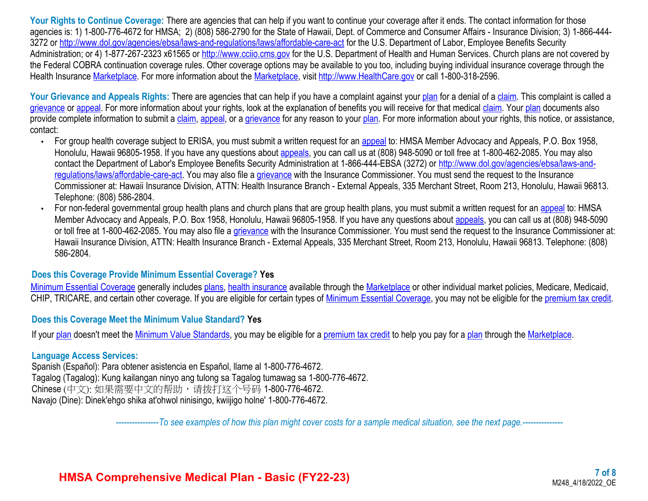Your Rights to Continue Coverage: There are agencies that can help if you want to continue your coverage after it ends. The contact information for those agencies is: 1) 1-800-776-4672 for HMSA; 2) (808) 586-2790 for the State of Hawaii, Dept. of Commerce and Consumer Affairs - Insurance Division; 3) 1-866-444 3272 or <http://www.dol.gov/agencies/ebsa/laws-and-regulations/laws/affordable-care-act>for the U.S. Department of Labor, Employee Benefits Security Administration; or 4) 1-877-267-2323 x61565 or [http://www.cciio.cms.gov](http://www.cciio.cms.gov/) for the U.S. Department of Health and Human Services. Church plans are not covered by the Federal COBRA continuation coverage rules. Other coverage options may be available to you too, including buying individual insurance coverage through the Health Insurance [Marketplace](https://www.healthcare.gov/sbc-glossary/#marketplace). For more information about the Marketplace, visit [http://www.HealthCare.gov](http://www.healthcare.gov/) or call 1-800-318-2596.

Your Grievance and Appeals Rights: There are agencies that can help if you have a complaint against your [plan](https://www.healthcare.gov/sbc-glossary/#plan) for a denial of a [claim](https://www.healthcare.gov/sbc-glossary/#claim). This complaint is called a [grievance](https://www.healthcare.gov/sbc-glossary/#grievance) or [appeal](https://www.healthcare.gov/sbc-glossary/#appeal). For more information about your rights, look at the explanation of benefits you will receive for that medical [claim](https://www.healthcare.gov/sbc-glossary/#claim). Your [plan](https://www.healthcare.gov/sbc-glossary/#plan) documents also provide complete information to submit a [claim,](https://www.healthcare.gov/sbc-glossary/#claim) [appeal,](https://www.healthcare.gov/sbc-glossary/#appeal) or a [grievance](https://www.healthcare.gov/sbc-glossary/#grievance) for any reason to your [plan](https://www.healthcare.gov/sbc-glossary/#plan). For more information about your rights, this notice, or assistance, contact:

- For group health coverage subject to ERISA, you must submit a written request for an [appeal](https://www.healthcare.gov/sbc-glossary/#appeal) to: HMSA Member Advocacy and Appeals, P.O. Box 1958, Honolulu, Hawaii 96805-1958. If you have any questions about [appeals](https://www.healthcare.gov/sbc-glossary/#appeal), you can call us at (808) 948-5090 or toll free at 1-800-462-2085. You may also contact the Department of Labor's Employee Benefits Security Administration at 1-866-444-EBSA (3272) or [http://www.dol.gov/agencies/ebsa/laws-and](http://www.dol.gov/agencies/ebsa/laws-and-regulations/laws/affordable-care-act)[regulations/laws/affordable-care-act.](http://www.dol.gov/agencies/ebsa/laws-and-regulations/laws/affordable-care-act) You may also file a [grievance](https://www.healthcare.gov/sbc-glossary/#grievance) with the Insurance Commissioner. You must send the request to the Insurance Commissioner at: Hawaii Insurance Division, ATTN: Health Insurance Branch - External Appeals, 335 Merchant Street, Room 213, Honolulu, Hawaii 96813. Telephone: (808) 586-2804.
- For non-federal governmental group health plans and church plans that are group health plans, you must submit a written request for an [appeal](https://www.healthcare.gov/sbc-glossary/#appeal) to: HMSA Member Advocacy and Appeals, P.O. Box 1958, Honolulu, Hawaii 96805-1958. If you have any questions about [appeals](https://www.healthcare.gov/sbc-glossary/#appeal), you can call us at (808) 948-5090 or toll free at 1-800-462-2085. You may also file a [grievance](https://www.healthcare.gov/sbc-glossary/#grievance) with the Insurance Commissioner. You must send the request to the Insurance Commissioner at: Hawaii Insurance Division, ATTN: Health Insurance Branch - External Appeals, 335 Merchant Street, Room 213, Honolulu, Hawaii 96813. Telephone: (808) 586-2804.

#### **Does this Coverage Provide Minimum Essential Coverage? Yes**

[Minimum Essential Coverage](https://www.healthcare.gov/sbc-glossary/#minimum-essential-coverage) generally includes [plans](https://www.healthcare.gov/sbc-glossary/#plan), [health insurance](https://www.healthcare.gov/sbc-glossary/#health-insurance) available through the [Marketplace](https://www.healthcare.gov/sbc-glossary/#marketplace) or other individual market policies, Medicare, Medicaid, CHIP, TRICARE, and certain other coverage. If you are eligible for certain types of [Minimum Essential Coverage](https://www.healthcare.gov/sbc-glossary/#minimum-essential-coverage), you may not be eligible for the [premium tax credit.](https://www.healthcare.gov/sbc-glossary/#premium-tax-credits)

#### **Does this Coverage Meet the Minimum Value Standard? Yes**

If your [plan](https://www.healthcare.gov/sbc-glossary/#plan) doesn't meet the [Minimum Value Standards,](https://www.healthcare.gov/sbc-glossary/#minimum-value-standard) you may be eligible for a [premium tax credit](https://www.healthcare.gov/sbc-glossary/#premium-tax-credits) to help you pay for a [plan](https://www.healthcare.gov/sbc-glossary/#plan) through the [Marketplace.](https://www.healthcare.gov/sbc-glossary/#marketplace)

#### **Language Access Services:**

Spanish (Español): Para obtener asistencia en Español, llame al 1-800-776-4672. Tagalog (Tagalog): Kung kailangan ninyo ang tulong sa Tagalog tumawag sa 1-800-776-4672. Chinese (中文): 如果需要中文的帮助,请拨打这个号码 1-800-776-4672. Navajo (Dine): Dinek'ehgo shika at'ohwol ninisingo, kwiijigo holne' 1-800-776-4672.

----------------*To see examples of how this plan might cover costs for a sample medical situation, see the next page.-----------*----